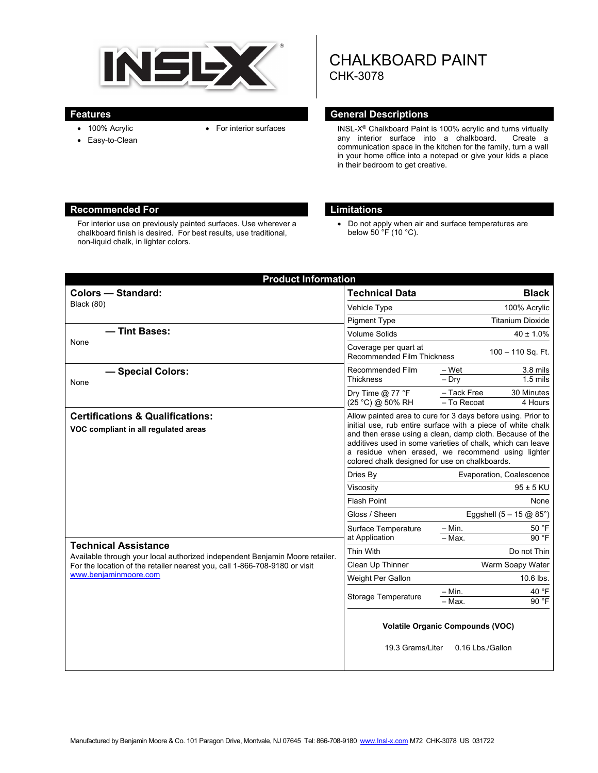

- 100% Acrylic
- 
- Easy-to-Clean
- 
- 
- 
- 
- 
- 
- 
- 

# CHALKBOARD PAINT CHK-3078

### **Features General Descriptions**

• For interior surfaces INSL-X<sup>®</sup> Chalkboard Paint is 100% acrylic and turns virtually<br>any interior surface into a chalkboard. Create a any interior surface into a chalkboard. communication space in the kitchen for the family, turn a wall in your home office into a notepad or give your kids a place in their bedroom to get creative.

#### **Recommended For Limitations**

For interior use on previously painted surfaces. Use wherever a chalkboard finish is desired. For best results, use traditional, non-liquid chalk, in lighter colors.

 Do not apply when air and surface temperatures are below  $50 \text{ °F}$  (10 °C).

| <b>Product Information</b>                                                                                                                                                                                                                                                                                |                                                                                                                                                                                                                                                                                                                                                              |
|-----------------------------------------------------------------------------------------------------------------------------------------------------------------------------------------------------------------------------------------------------------------------------------------------------------|--------------------------------------------------------------------------------------------------------------------------------------------------------------------------------------------------------------------------------------------------------------------------------------------------------------------------------------------------------------|
| <b>Colors - Standard:</b>                                                                                                                                                                                                                                                                                 | <b>Technical Data</b><br><b>Black</b>                                                                                                                                                                                                                                                                                                                        |
| Black (80)                                                                                                                                                                                                                                                                                                | 100% Acrylic<br>Vehicle Type                                                                                                                                                                                                                                                                                                                                 |
|                                                                                                                                                                                                                                                                                                           | <b>Titanium Dioxide</b><br><b>Pigment Type</b>                                                                                                                                                                                                                                                                                                               |
| - Tint Bases:<br>None                                                                                                                                                                                                                                                                                     | <b>Volume Solids</b><br>$40 \pm 1.0\%$                                                                                                                                                                                                                                                                                                                       |
|                                                                                                                                                                                                                                                                                                           | Coverage per quart at<br>100 - 110 Sq. Ft.<br><b>Recommended Film Thickness</b>                                                                                                                                                                                                                                                                              |
| - Special Colors:<br>None                                                                                                                                                                                                                                                                                 | 3.8 mils<br>Recommended Film<br>– Wet<br>$-$ Dry<br>$1.5$ mils<br><b>Thickness</b>                                                                                                                                                                                                                                                                           |
|                                                                                                                                                                                                                                                                                                           | - Tack Free<br>Dry Time $@$ 77 °F<br>30 Minutes<br>- To Recoat<br>(25 °C) @ 50% RH<br>4 Hours                                                                                                                                                                                                                                                                |
| <b>Certifications &amp; Qualifications:</b><br>VOC compliant in all regulated areas<br><b>Technical Assistance</b><br>Available through your local authorized independent Benjamin Moore retailer.<br>For the location of the retailer nearest you, call 1-866-708-9180 or visit<br>www.benjaminmoore.com | Allow painted area to cure for 3 days before using. Prior to<br>initial use, rub entire surface with a piece of white chalk<br>and then erase using a clean, damp cloth. Because of the<br>additives used in some varieties of chalk, which can leave<br>a residue when erased, we recommend using lighter<br>colored chalk designed for use on chalkboards. |
|                                                                                                                                                                                                                                                                                                           | Dries By<br>Evaporation, Coalescence                                                                                                                                                                                                                                                                                                                         |
|                                                                                                                                                                                                                                                                                                           | Viscosity<br>$95 \pm 5$ KU                                                                                                                                                                                                                                                                                                                                   |
|                                                                                                                                                                                                                                                                                                           | <b>Flash Point</b><br>None                                                                                                                                                                                                                                                                                                                                   |
|                                                                                                                                                                                                                                                                                                           | Gloss / Sheen<br>Eggshell $(5 - 15 \text{ @ } 85^{\circ})$                                                                                                                                                                                                                                                                                                   |
|                                                                                                                                                                                                                                                                                                           | 50 °F<br>$-$ Min.<br>Surface Temperature<br>90 °F<br>at Application<br>$-$ Max.                                                                                                                                                                                                                                                                              |
|                                                                                                                                                                                                                                                                                                           | Thin With<br>Do not Thin                                                                                                                                                                                                                                                                                                                                     |
|                                                                                                                                                                                                                                                                                                           | Clean Up Thinner<br>Warm Soapy Water                                                                                                                                                                                                                                                                                                                         |
|                                                                                                                                                                                                                                                                                                           | 10.6 lbs.<br>Weight Per Gallon                                                                                                                                                                                                                                                                                                                               |
|                                                                                                                                                                                                                                                                                                           | 40 °F<br>– Min.<br>Storage Temperature<br>90 °F<br>- Max.                                                                                                                                                                                                                                                                                                    |
|                                                                                                                                                                                                                                                                                                           | <b>Volatile Organic Compounds (VOC)</b><br>19.3 Grams/Liter<br>0.16 Lbs./Gallon                                                                                                                                                                                                                                                                              |